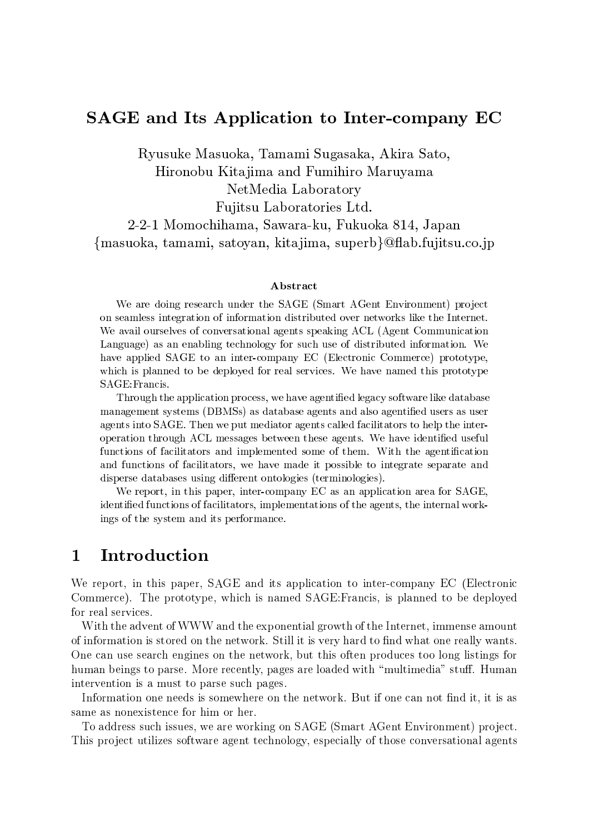## SAGE and Its Application to Inter-company EC

Ryusuke Masuoka, Tamami Sugasaka, Akira Sato, Hironobu Kitajima and Fumihiro Maruyama

NetMedia Laboratory

Fujitsu Laboratories Ltd.

2-2-1 Momochihama, Sawara-ku, Fukuoka 814, Japan {masuoka, tamami, satoyan, kitajima, superb}@flab.fujitsu.co.jp

### Abstract

We are doing research under the SAGE (Smart AGent Environment) project on seamless integration of information distributed over networks like the Internet. We avail ourselves of conversational agents speaking ACL (Agent Communication Language) as an enabling technology for such use of distributed information. We have applied SAGE to an inter-company EC (Electronic Commerce) prototype, which is planned to be deployed for real services. We have named this prototype SAGE:Francis.

Through the application process, we have agentied legacy software like database management systems (DBMSs) as database agents and also agentied users as user agents into SAGE. Then we put mediator agents called facilitators to help the interoperation through ACL messages between these agents. We have identied useful functions of facilitators and implemented some of them. With the agentification and functions of facilitators, we have made it possible to integrate separate and disperse databases using different ontologies (terminologies).

We report, in this paper, inter-company EC as an application area for SAGE, identied functions of facilitators, implementations of the agents, the internal workings of the system and its performance.

## 1 Introduction

We report, in this paper, SAGE and its application to inter-company EC (Electronic Commerce). The prototype, which is named SAGE:Francis, is planned to be deployed for real services.

With the advent of WWW and the exponential growth of the Internet, immense amount of information is stored on the network. Still it is very hard to find what one really wants. One can use search engines on the network, but this often produces too long listings for human beings to parse. More recently, pages are loaded with "multimedia" stuff. Human intervention is a must to parse such pages.

Information one needs is somewhere on the network. But if one can not find it, it is as same as nonexistence for him or her.

To address such issues, we are working on SAGE (Smart AGent Environment) project. This project utilizes software agent technology, especially of those conversational agents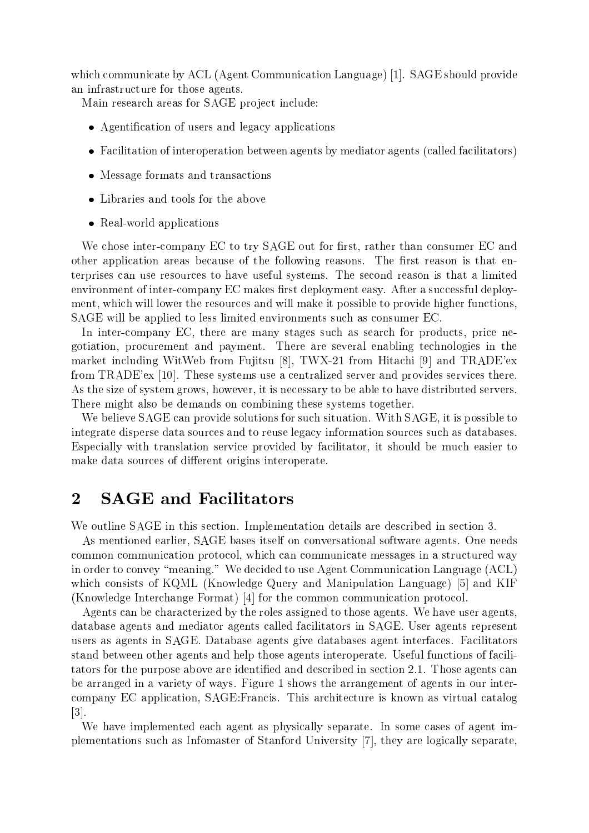which communicate by ACL (Agent Communication Language) [1]. SAGE should provide an infrastructure for those agents.

Main research areas for SAGE project include:

- Agentication of users and legacy applications
- Facilitation of interoperation between agents by mediator agents (called facilitators)
- message concerned and transactions and the
- 
- Real-world applications and contact the set of the set of the set of the set of the set of the set of the set o

We chose inter-company EC to try SAGE out for first, rather than consumer EC and other application areas because of the following reasons. The first reason is that enterprises can use resources to have useful systems. The second reason is that a limited environment of inter-company EC makes first deployment easy. After a successful deployment, which will lower the resources and will make it possible to provide higher functions, SAGE will be applied to less limited environments such as consumer EC.

In inter-company EC, there are many stages such as search for products, price negotiation, procurement and payment. There are several enabling technologies in the market including WitWeb from Fujitsu [8], TWX-21 from Hitachi [9] and TRADE'ex from TRADE'ex [10]. These systems use a centralized server and provides services there. As the size of system grows, however, it is necessary to be able to have distributed servers. There might also be demands on combining these systems together.

We believe SAGE can provide solutions for such situation. With SAGE, it is possible to integrate disperse data sources and to reuse legacy information sources such as databases. Especially with translation service provided by facilitator, it should be much easier to make data sources of different origins interoperate.

## 2 SAGE and Facilitators

We outline SAGE in this section. Implementation details are described in section 3.

As mentioned earlier, SAGE bases itself on conversational software agents. One needs common communication protocol, which can communicate messages in a structured way in order to convey "meaning." We decided to use Agent Communication Language  $(ACL)$ which consists of KQML (Knowledge Query and Manipulation Language) [5] and KIF (Knowledge Interchange Format) [4] for the common communication protocol.

Agents can be characterized by the roles assigned to those agents. We have user agents, database agents and mediator agents called facilitators in SAGE. User agents represent users as agents in SAGE. Database agents give databases agent interfaces. Facilitators stand between other agents and help those agents interoperate. Useful functions of facilitators for the purpose above are identified and described in section 2.1. Those agents can be arranged in a variety of ways. Figure 1 shows the arrangement of agents in our intercompany EC application, SAGE:Francis. This architecture is known as virtual catalog [3].

We have implemented each agent as physically separate. In some cases of agent implementations such as Infomaster of Stanford University [7], they are logically separate,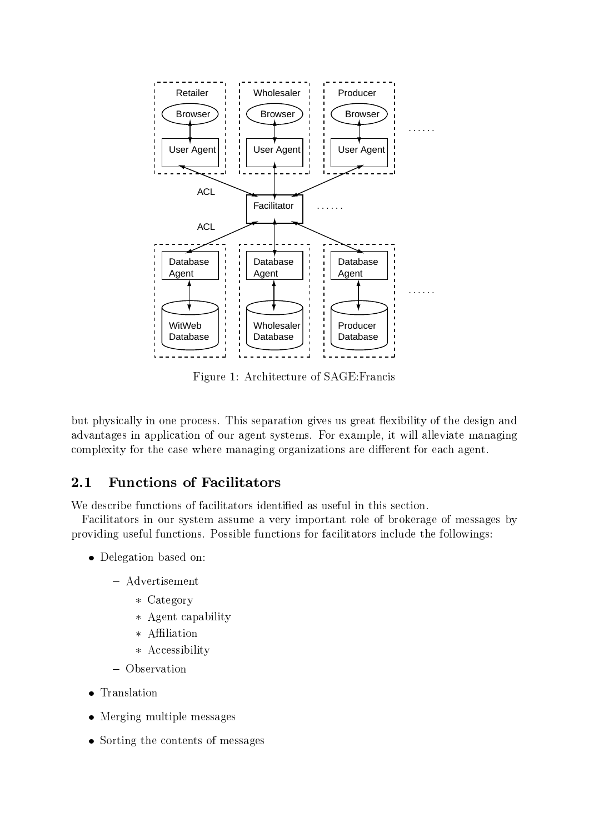

Figure 1: Architecture of SAGE:Francis

but physically in one process. This separation gives us great flexibility of the design and advantages in application of our agent systems. For example, it will alleviate managing complexity for the case where managing organizations are different for each agent.

### **Functions of Facilitators**  $2.1$

We describe functions of facilitators identified as useful in this section.

Facilitators in our system assume a very important role of brokerage of messages by providing useful functions. Possible functions for facilitators include the followings:

- Delegation based on:
	- ${\bf x}$  and  ${\bf x}$  and  ${\bf x}$  are  ${\bf x}$ 
		- $\sim$   $\sim$   $\sim$   $\sim$   $\sim$   $\sim$   $\sim$
		- Agent capability
		-
		- Accessibility
	- Observation
- 
- Merging multiple messages
- Sorting the contents of messages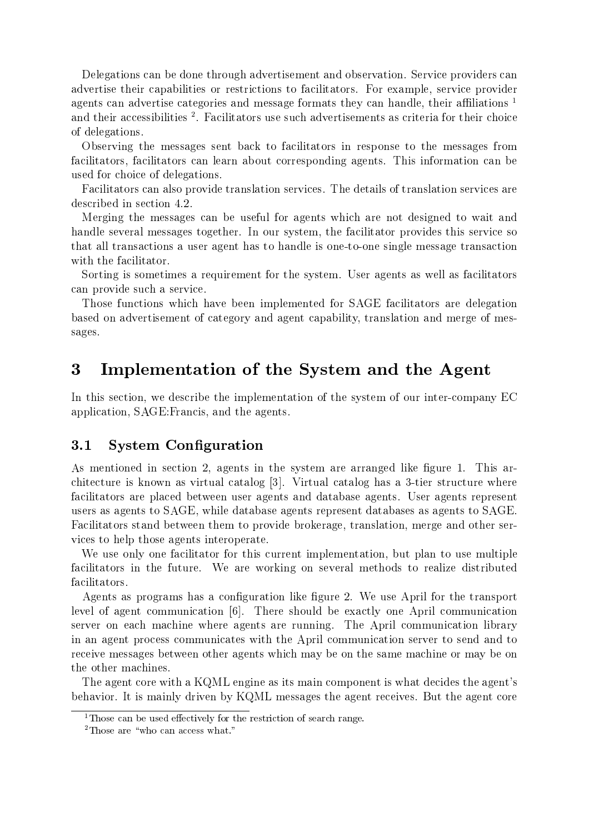Delegations can be done through advertisement and observation. Service providers can advertise their capabilities or restrictions to facilitators. For example, service provider agents can advertise categories and message formats they can handle, their affiliations  $1$ and their accessibilities <sup>-</sup>. Facilitators use such advertisements as criteria for their choice of delegations.

Observing the messages sent back to facilitators in response to the messages from facilitators, facilitators can learn about corresponding agents. This information can be used for choice of delegations.

Facilitators can also provide translation services. The details of translation services are described in section 4.2.

Merging the messages can be useful for agents which are not designed to wait and handle several messages together. In our system, the facilitator provides this service so that all transactions a user agent has to handle is one-to-one single message transaction with the facilitator.

Sorting is sometimes a requirement for the system. User agents as well as facilitators can provide such a service.

Those functions which have been implemented for SAGE facilitators are delegation based on advertisement of category and agent capability, translation and merge of messages.

### 3 Implementation of the System and the Agent

In this section, we describe the implementation of the system of our inter-company EC application, SAGE:Francis, and the agents.

### 3.1 System Configuration

As mentioned in section 2, agents in the system are arranged like figure 1. This architecture is known as virtual catalog [3]. Virtual catalog has a 3-tier structure where facilitators are placed between user agents and database agents. User agents represent users as agents to SAGE, while database agents represent databases as agents to SAGE. Facilitators stand between them to provide brokerage, translation, merge and other services to help those agents interoperate.

We use only one facilitator for this current implementation, but plan to use multiple facilitators in the future. We are working on several methods to realize distributed facilitators.

Agents as programs has a configuration like figure 2. We use April for the transport level of agent communication [6]. There should be exactly one April communication server on each machine where agents are running. The April communication library in an agent process communicates with the April communication server to send and to receive messages between other agents which may be on the same machine or may be on the other machines.

The agent core with a KQML engine as its main component is what decides the agent's behavior. It is mainly driven by KQML messages the agent receives. But the agent core

<sup>&</sup>lt;sup>1</sup>Those can be used effectively for the restriction of search range.

<sup>&</sup>lt;sup>2</sup>Those are "who can access what."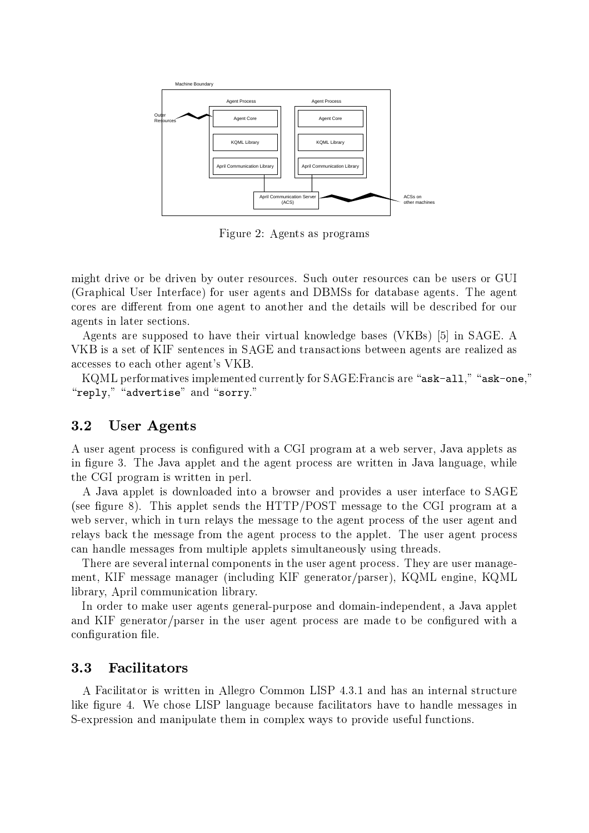

Figure 2: Agents as programs

might drive or be driven by outer resources. Such outer resources can be users or GUI (Graphical User Interface) for user agents and DBMSs for database agents. The agent cores are different from one agent to another and the details will be described for our agents in later sections.

Agents are supposed to have their virtual knowledge bases (VKBs) [5] in SAGE. A VKB is a set of KIF sentences in SAGE and transactions between agents are realized as accesses to each other agent's VKB.

KQML performatives implemented currently for  $SAGE: Francis$  are "ask-all," "ask-one," " $\mathbf{reply},$ " "advertise" and "sorry."

### 3.2 User Agents

A user agent process is configured with a CGI program at a web server, Java applets as in figure 3. The Java applet and the agent process are written in Java language, while the CGI program is written in perl.

A Java applet is downloaded into a browser and provides a user interface to SAGE (see figure 8). This applet sends the  $HTTP/POST$  message to the CGI program at a web server, which in turn relays the message to the agent process of the user agent and relays back the message from the agent process to the applet. The user agent process can handle messages from multiple applets simultaneously using threads.

There are several internal components in the user agent process. They are user management, KIF message manager (including KIF generator/parser), KQML engine, KQML library, April communication library.

In order to make user agents general-purpose and domain-independent, a Java applet and KIF generator/parser in the user agent process are made to be configured with a configuration file.

#### 3.3 **Facilitators**

A Facilitator is written in Allegro Common LISP 4.3.1 and has an internal structure like figure 4. We chose LISP language because facilitators have to handle messages in S-expression and manipulate them in complex ways to provide useful functions.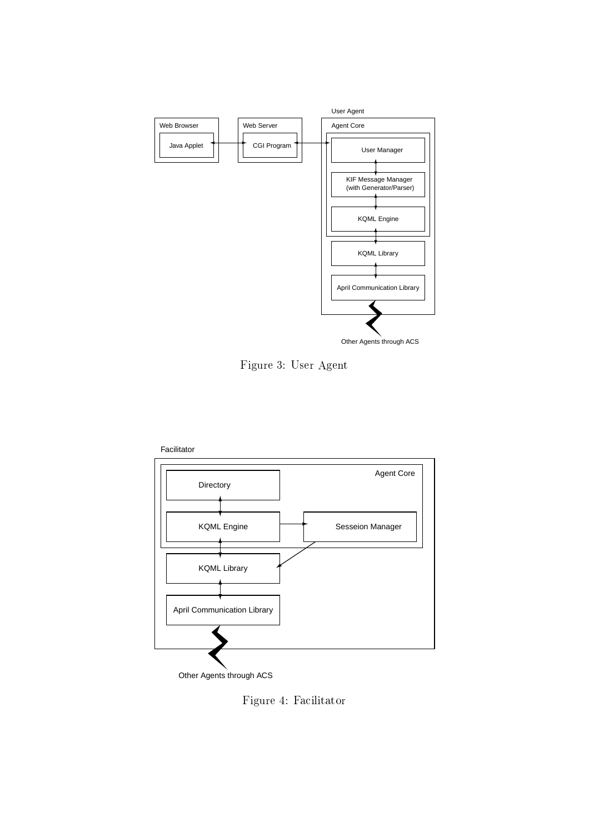

Figure 3: User Agent



Figure 4: Facilitator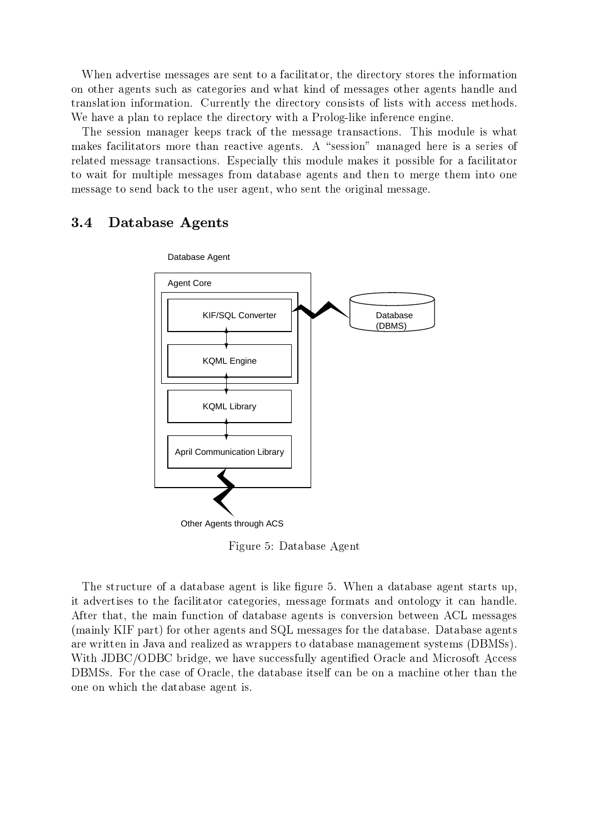When advertise messages are sent to a facilitator, the directory stores the information on other agents such as categories and what kind of messages other agents handle and translation information. Currently the directory consists of lists with access methods. We have a plan to replace the directory with a Prolog-like inference engine.

The session manager keeps track of the message transactions. This module is what makes facilitators more than reactive agents. A "session" managed here is a series of related message transactions. Especially this module makes it possible for a facilitator to wait for multiple messages from database agents and then to merge them into one message to send back to the user agent, who sent the original message.

#### $3.4$ Database Agents



Figure 5: Database Agent

The structure of a database agent is like figure 5. When a database agent starts up, it advertises to the facilitator categories, message formats and ontology it can handle. After that, the main function of database agents is conversion between ACL messages (mainly KIF part) for other agents and SQL messages for the database. Database agents are written in Java and realized as wrappers to database management systems (DBMSs). With JDBC/ODBC bridge, we have successfully agentied Oracle and Microsoft Access DBMSs. For the case of Oracle, the database itself can be on a machine other than the one on which the database agent is.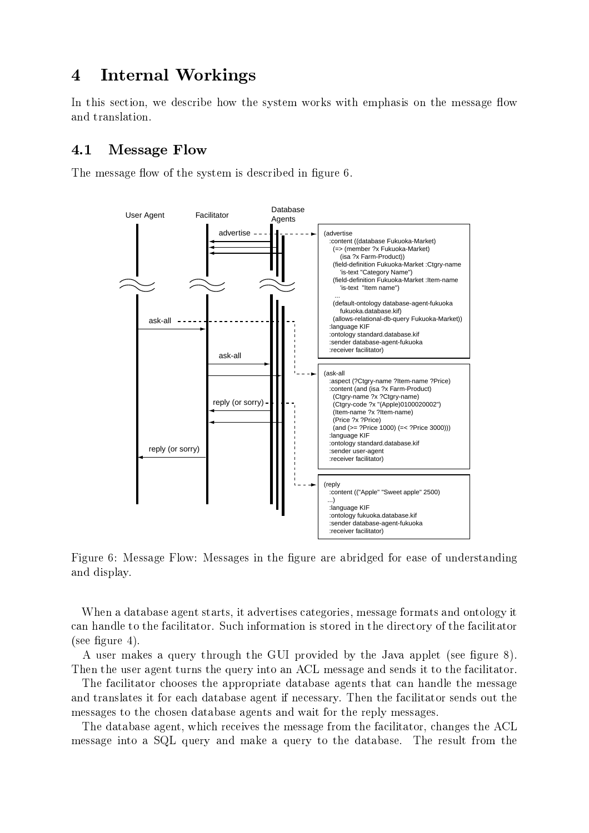# 4 Internal Workings

In this section, we describe how the system works with emphasis on the message flow and translation.

### 4.1 Message Flow

The message flow of the system is described in figure 6.



Figure 6: Message Flow: Messages in the figure are abridged for ease of understanding and display.

When a database agent starts, it advertises categories, message formats and ontology it can handle to the facilitator. Such information is stored in the directory of the facilitator  $(see figure 4).$ 

A user makes a query through the GUI provided by the Java applet (see figure 8). Then the user agent turns the query into an ACL message and sends it to the facilitator.

The facilitator chooses the appropriate database agents that can handle the message and translates it for each database agent if necessary. Then the facilitator sends out the messages to the chosen database agents and wait for the reply messages.

The database agent, which receives the message from the facilitator, changes the ACL message into a SQL query and make a query to the database. The result from the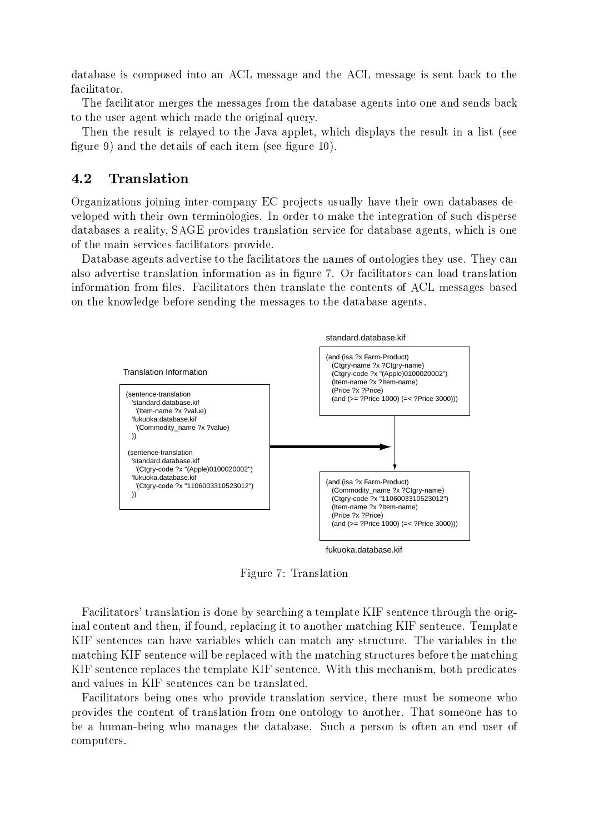database is composed into an ACL message and the ACL message is sent back to the facilitator.

The facilitator merges the messages from the database agents into one and sends back to the user agent which made the original query.

Then the result is relayed to the Java applet, which displays the result in a list (see figure 9) and the details of each item (see figure 10).

#### 4.2 **Translation**

Organizations joining inter-company EC projects usually have their own databases developed with their own terminologies. In order to make the integration of such disperse databases a reality, SAGE provides translation service for database agents, which is one of the main services facilitators provide.

Database agents advertise to the facilitators the names of ontologies they use. They can also advertise translation information as in figure 7. Or facilitators can load translation information from files. Facilitators then translate the contents of ACL messages based on the knowledge before sending the messages to the database agents.



Figure 7: Translation

Facilitators' translation is done by searching a template KIF sentence through the original content and then, if found, replacing it to another matching KIF sentence. Template KIF sentences can have variables which can match any structure. The variables in the matching KIF sentence will be replaced with the matching structures before the matching KIF sentence replaces the template KIF sentence. With this mechanism, both predicates and values in KIF sentences can be translated.

Facilitators being ones who provide translation service, there must be someone who provides the content of translation from one ontology to another. That someone has to be a human-being who manages the database. Such a person is often an end user of computers.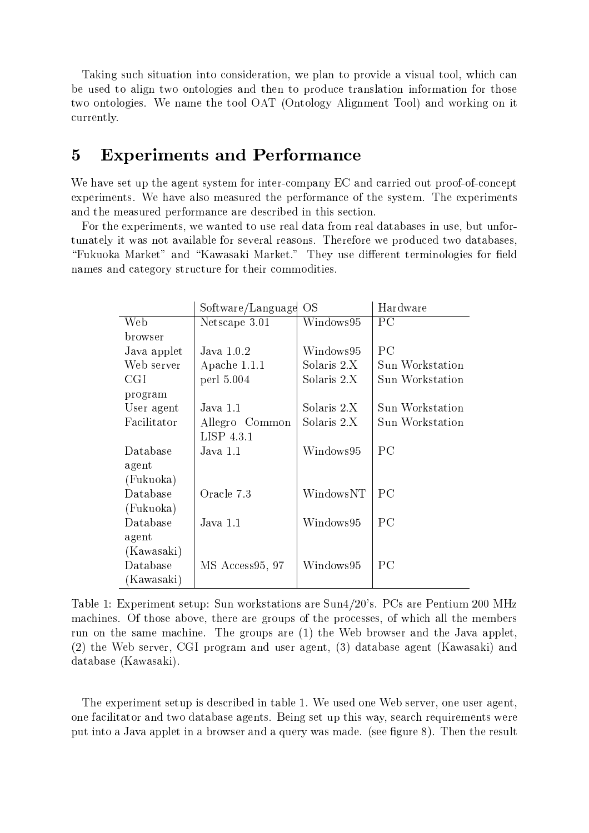Taking such situation into consideration, we plan to provide a visual tool, which can be used to align two ontologies and then to produce translation information for those two ontologies. We name the tool OAT (Ontology Alignment Tool) and working on it currently.

## 5 Experiments and Performance

We have set up the agent system for inter-company EC and carried out proof-of-concept experiments. We have also measured the performance of the system. The experiments and the measured performance are described in this section.

For the experiments, we wanted to use real data from real databases in use, but unfortunately itwas not available for several reasons. Therefore we produced two databases, "Fukuoka Market" and "Kawasaki Market." They use different terminologies for field names and category structure for their commodities.

|             | Software/Language | <b>OS</b>   | Hardware        |
|-------------|-------------------|-------------|-----------------|
| Web         | Netscape 3.01     | Windows95   | PC              |
| browser     |                   |             |                 |
| Java applet | Java $1.0.2$      | Windows95   | PС              |
| Web server  | Apache 1.1.1      | Solaris 2.X | Sun Workstation |
| CGI         | perl 5.004        | Solaris 2.X | Sun Workstation |
| program     |                   |             |                 |
| User agent  | Java 1.1          | Solaris 2.X | Sun Workstation |
| Facilitator | Allegro Common    | Solaris 2.X | Sun Workstation |
|             | LISP 4.3.1        |             |                 |
| Database    | Java 1.1          | Windows95   | $P_{\rm C}$     |
| agent       |                   |             |                 |
| (Fukuoka)   |                   |             |                 |
| Database    | Oracle 7.3        | WindowsNT   | $P_{\rm C}$     |
| (Fukuoka)   |                   |             |                 |
| Database    | Java 1.1          | Windows95   | PC              |
| agent       |                   |             |                 |
| (Kawasaki)  |                   |             |                 |
| Database    | MS Access95, 97   | Windows95   | PC              |
| (Kawasaki)  |                   |             |                 |

Table 1: Experiment setup: Sun workstations are Sun4/20's. PCs are Pentium 200 MHz machines. Of those above, there are groups of the processes, of which all the members run on the same machine. The groups are (1) the Web browser and the Java applet, (2) the Web server, CGI program anduser agent, (3) database agent (Kawasaki) and database (Kawasaki).

The experiment setup is described in table 1. We used one Web server, one user agent, one facilitator and two database agents. Being set up this way, search requirements were put into a Java applet in a browser and a query was made. (see figure 8). Then the result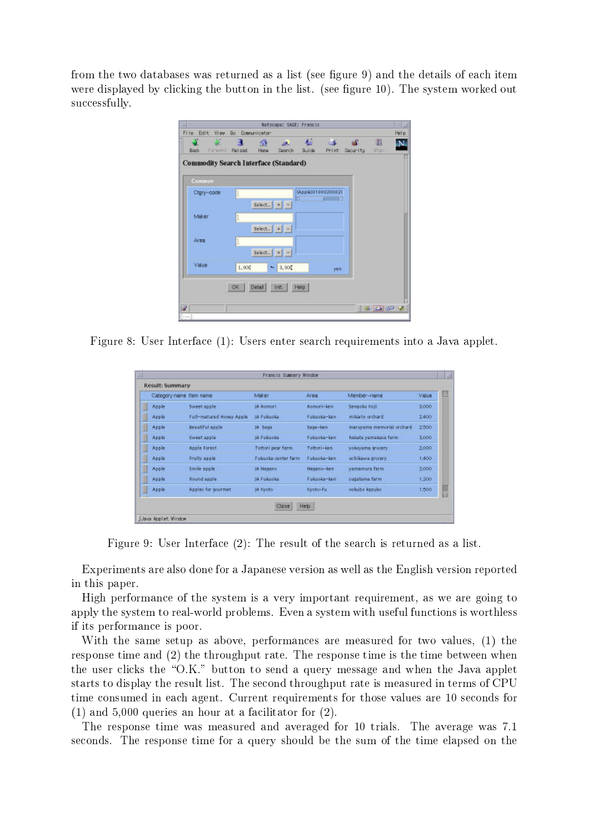from the two databases was returned as a list (see figure 9) and the details of each item were displayed by clicking the button in the list. (see figure 10). The system worked out successfully.

| ш                                            |                |                     |                      | Netscape: SAGE: Francis                  |              |                                 |                  | $-121$ |
|----------------------------------------------|----------------|---------------------|----------------------|------------------------------------------|--------------|---------------------------------|------------------|--------|
| File Edit View                               | Go Comunicator |                     |                      |                                          |              |                                 |                  | Help   |
| œ<br><b>Back</b><br><b>Hankero</b>           | Religad        | 金<br>Hone           | æ.<br><b>Example</b> | $\sim$<br>Buide                          | <b>COLOR</b> | $ \mathbf{d}$<br>Print Security | 甜<br><b>Stup</b> |        |
| <b>Commodity Search Interface (Standard)</b> |                |                     |                      |                                          |              |                                 |                  |        |
| Common                                       |                |                     |                      |                                          |              |                                 |                  |        |
| Ctgry-code                                   |                |                     |                      | (AppleT01000200020<br><b>All College</b> |              |                                 |                  |        |
|                                              |                | Select. $  +   -$   |                      |                                          |              |                                 |                  |        |
| Maker -                                      |                |                     |                      |                                          |              |                                 |                  |        |
| Area                                         |                | Select. $  +   -  $ |                      |                                          |              |                                 |                  |        |
|                                              |                | $Sekct.$ + -        |                      |                                          |              |                                 |                  |        |
| Value                                        | 1,000          | w.                  | 3,000                |                                          |              |                                 |                  |        |
|                                              |                |                     |                      |                                          | yen          |                                 |                  |        |
|                                              | OK             | Detail              | Init. Help.          |                                          |              |                                 |                  |        |
|                                              |                |                     |                      |                                          |              |                                 |                  |        |
| r#                                           |                |                     |                      |                                          |              |                                 | 日本 日 30 元        |        |

Figure 8: User Interface (1): Users enter search requirements into a Java applet.

|   | Result: Summary         |                          |                      |              |                           |       |
|---|-------------------------|--------------------------|----------------------|--------------|---------------------------|-------|
|   | Category name Item name |                          | Maker                | Area         | Mamber-name               | Value |
| I | Apple                   | Sweet apple.             | In Aumori            | Aomori-ken   | Sengoku Koji              | 3,000 |
| I | Apple:                  | Full-matured Honey Apple | In Fukuoka           | Fukuoka-ken. | milarin orchard           | 2,400 |
| I | Apple                   | Beautiful apple          | IA Saga              | Saga-ken     | maruyama memorial orchard | 2500  |
| U | Apple                   | Sweet apple.             | IA Fukuoka           | Fukuoka-ken  | hakata yamakasa farm      | 3,000 |
| I | Apple                   | Apple Forest             | Tottori pear farm    | Tottori-ken  | yokoyama grocery          | 2,000 |
| I | Apple:                  | Fruity apple             | Fulcioka center form | Fukuoka-ken: | uchikawa grocery.         | 1,400 |
| D | Apple                   | Smile apple.             | JA Nagano            | Nasano-ken   | yamamura farm.            | 2,000 |
| H | Apple                   | Round apple              | JA Fukuoka           | Fukuoka-ken  | sugatama farm.            | 1,200 |
| Ø | Apple                   | Apples for gourmet       | IA Harobo            | Kyoto-fu     | pokubo kazuko             | 1,500 |

Figure 9: User Interface (2): The result of the search is returned as a list.

Experiments are also done for a Japanese version as well as the English version reported in this paper.

High performance of the system is a very important requirement, as we are going to apply the system to real-world problems. Even a system with useful functions is worthless if its performance is poor.

With the same setup as above, performances are measured for two values, (1) the response time and (2) the throughput rate. The response time is the time between when the user clicks the " $O.K."$  button to send a query message and when the Java applet starts to display the result list. The second throughput rate is measured in terms of CPU time consumed in each agent. Current requirements for those values are 10 seconds for (1) and 5,000 queries an hour at a facilitator for (2).

The response time was measured and averaged for 10 trials. The average was 7.1 seconds. The response time for a query should be the sum of the time elapsed on the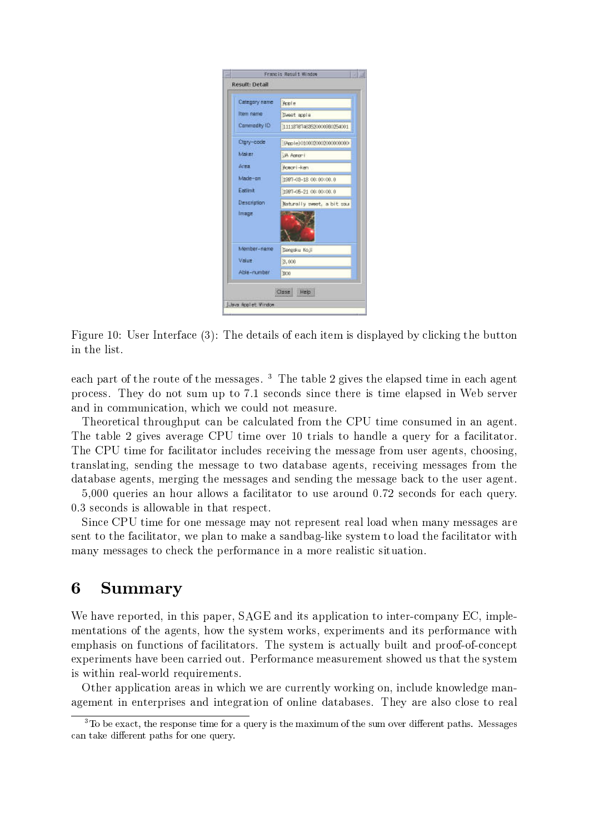| Category name      | Acci e                     |
|--------------------|----------------------------|
| Item name          | Sweet apple                |
| Commodity ID       | 11118787463520000980254001 |
| Ctgry-code         | [Apple]0100020002000000000 |
| Maker:             | <b>UA Agree</b> i          |
| Area               | Aceoni-ken                 |
| Made-on            | 1997-03-18 00:00:00.0      |
| Eatlint            | 1987-05-21 00:00:00.0      |
| <b>Description</b> | Naturally prest, a bit sou |
| <b>Image</b>       |                            |
| Member-name        | Sengaku Koji               |
| Value              | 3,000                      |
| hadmun-aidA        | 1900                       |

Figure 10: User Interface (3): The details of each item is displayed by clicking the button in the list.

each part of the route of the messages.<sup>3</sup> The table 2 gives the elapsed time in each agent process. They do not sum up to 7.1 seconds since there is time elapsed in Web server and in communication, which we could not measure.

Theoretical throughput can be calculated from the CPU time consumed in an agent. The table 2 gives average CPU time over 10 trials to handle a query for a facilitator. The CPU time for facilitator includes receiving the message from user agents, choosing, translating, sending the message to two database agents, receiving messages from the database agents, merging the messages and sending the message back to the user agent.

5,000 queries an hour allows a facilitator to use around 0.72 seconds for each query. 0.3 seconds is allowable in that respect.

Since CPU time for one message may not represent real load when many messages are sent to the facilitator, we plan to make a sandbag-like system to load the facilitator with many messages to check the performance in a more realistic situation.

## 6 Summary

We have reported, in this paper, SAGE and its application to inter-company EC, implementations of the agents, how the system works, experiments and its performance with emphasis on functions of facilitators. The system is actually built and proof-of-concept experiments have been carried out. Performance measurement showed us that the system is within real-world requirements.

Other application areas in which we are currently working on, include knowledge management in enterprises and integration of online databases. They are also close to real

 $\,$  10 De exact, the response time for a query is the maximum of the sum over different paths. Messages  $\,$ can take different paths for one query.